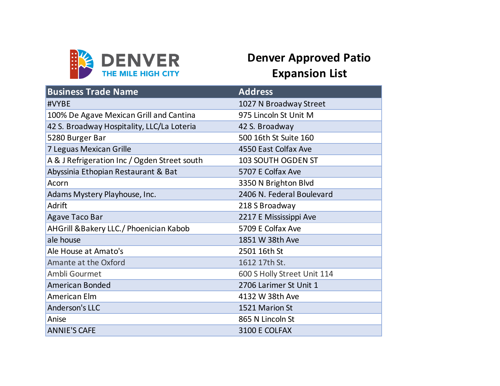

## **Denver Approved Patio Expansion List**

| <b>Business Trade Name</b>                   | <b>Address</b>              |
|----------------------------------------------|-----------------------------|
| #VYBE                                        | 1027 N Broadway Street      |
| 100% De Agave Mexican Grill and Cantina      | 975 Lincoln St Unit M       |
| 42 S. Broadway Hospitality, LLC/La Loteria   | 42 S. Broadway              |
| 5280 Burger Bar                              | 500 16th St Suite 160       |
| 7 Leguas Mexican Grille                      | 4550 East Colfax Ave        |
| A & J Refrigeration Inc / Ogden Street south | 103 SOUTH OGDEN ST          |
| Abyssinia Ethopian Restaurant & Bat          | 5707 E Colfax Ave           |
| Acorn                                        | 3350 N Brighton Blvd        |
| Adams Mystery Playhouse, Inc.                | 2406 N. Federal Boulevard   |
| Adrift                                       | 218 S Broadway              |
| <b>Agave Taco Bar</b>                        | 2217 E Mississippi Ave      |
| AHGrill & Bakery LLC./ Phoenician Kabob      | 5709 E Colfax Ave           |
| ale house                                    | 1851 W 38th Ave             |
| Ale House at Amato's                         | 2501 16th St                |
| Amante at the Oxford                         | 1612 17th St.               |
| Ambli Gourmet                                | 600 S Holly Street Unit 114 |
| <b>American Bonded</b>                       | 2706 Larimer St Unit 1      |
| American Elm                                 | 4132 W 38th Ave             |
| <b>Anderson's LLC</b>                        | 1521 Marion St              |
| Anise                                        | 865 N Lincoln St            |
| <b>ANNIE'S CAFE</b>                          | 3100 E COLFAX               |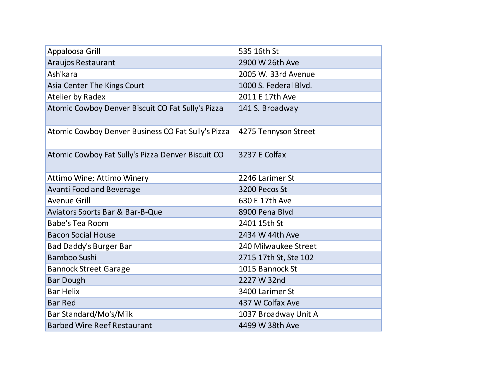| Appaloosa Grill                                    | 535 16th St           |
|----------------------------------------------------|-----------------------|
| Araujos Restaurant                                 | 2900 W 26th Ave       |
| Ash'kara                                           | 2005 W. 33rd Avenue   |
| Asia Center The Kings Court                        | 1000 S. Federal Blvd. |
| Atelier by Radex                                   | 2011 E 17th Ave       |
| Atomic Cowboy Denver Biscuit CO Fat Sully's Pizza  | 141 S. Broadway       |
| Atomic Cowboy Denver Business CO Fat Sully's Pizza | 4275 Tennyson Street  |
| Atomic Cowboy Fat Sully's Pizza Denver Biscuit CO  | 3237 E Colfax         |
| Attimo Wine; Attimo Winery                         | 2246 Larimer St       |
| <b>Avanti Food and Beverage</b>                    | 3200 Pecos St         |
| <b>Avenue Grill</b>                                | 630 E 17th Ave        |
| Aviators Sports Bar & Bar-B-Que                    | 8900 Pena Blvd        |
| <b>Babe's Tea Room</b>                             | 2401 15th St          |
| <b>Bacon Social House</b>                          | 2434 W 44th Ave       |
| <b>Bad Daddy's Burger Bar</b>                      | 240 Milwaukee Street  |
| <b>Bamboo Sushi</b>                                | 2715 17th St, Ste 102 |
| <b>Bannock Street Garage</b>                       | 1015 Bannock St       |
| <b>Bar Dough</b>                                   | 2227 W 32nd           |
| <b>Bar Helix</b>                                   | 3400 Larimer St       |
| <b>Bar Red</b>                                     | 437 W Colfax Ave      |
| Bar Standard/Mo's/Milk                             | 1037 Broadway Unit A  |
| <b>Barbed Wire Reef Restaurant</b>                 | 4499 W 38th Ave       |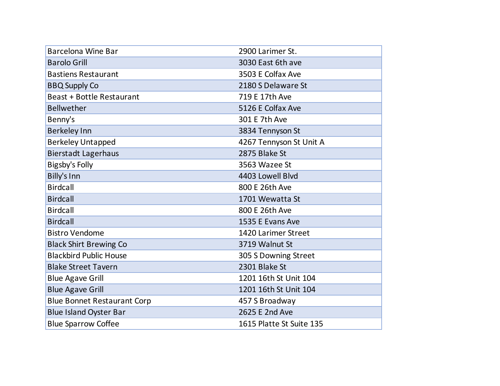| <b>Barcelona Wine Bar</b>          | 2900 Larimer St.         |
|------------------------------------|--------------------------|
| <b>Barolo Grill</b>                | 3030 East 6th ave        |
| <b>Bastiens Restaurant</b>         | 3503 E Colfax Ave        |
| <b>BBQ Supply Co</b>               | 2180 S Delaware St       |
| <b>Beast + Bottle Restaurant</b>   | 719 E 17th Ave           |
| <b>Bellwether</b>                  | 5126 E Colfax Ave        |
| Benny's                            | 301 E 7th Ave            |
| <b>Berkeley Inn</b>                | 3834 Tennyson St         |
| <b>Berkeley Untapped</b>           | 4267 Tennyson St Unit A  |
| <b>Bierstadt Lagerhaus</b>         | 2875 Blake St            |
| Bigsby's Folly                     | 3563 Wazee St            |
| <b>Billy's Inn</b>                 | 4403 Lowell Blvd         |
| <b>Birdcall</b>                    | 800 E 26th Ave           |
| <b>Birdcall</b>                    | 1701 Wewatta St          |
| <b>Birdcall</b>                    | 800 E 26th Ave           |
| <b>Birdcall</b>                    | 1535 E Evans Ave         |
| <b>Bistro Vendome</b>              | 1420 Larimer Street      |
| <b>Black Shirt Brewing Co</b>      | 3719 Walnut St           |
| <b>Blackbird Public House</b>      | 305 S Downing Street     |
| <b>Blake Street Tavern</b>         | 2301 Blake St            |
| <b>Blue Agave Grill</b>            | 1201 16th St Unit 104    |
| <b>Blue Agave Grill</b>            | 1201 16th St Unit 104    |
| <b>Blue Bonnet Restaurant Corp</b> | 457 S Broadway           |
| <b>Blue Island Oyster Bar</b>      | 2625 E 2nd Ave           |
| <b>Blue Sparrow Coffee</b>         | 1615 Platte St Suite 135 |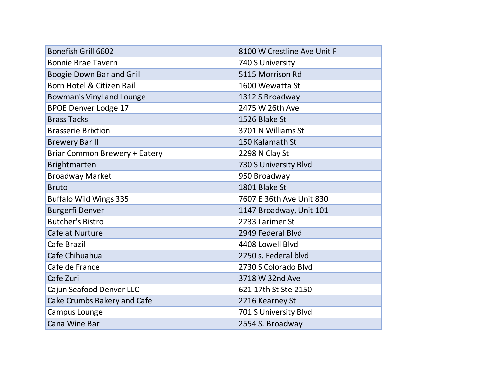| <b>Bonefish Grill 6602</b>       | 8100 W Crestline Ave Unit F |
|----------------------------------|-----------------------------|
| <b>Bonnie Brae Tavern</b>        | 740 S University            |
| <b>Boogie Down Bar and Grill</b> | 5115 Morrison Rd            |
| Born Hotel & Citizen Rail        | 1600 Wewatta St             |
| Bowman's Vinyl and Lounge        | 1312 S Broadway             |
| <b>BPOE Denver Lodge 17</b>      | 2475 W 26th Ave             |
| <b>Brass Tacks</b>               | 1526 Blake St               |
| <b>Brasserie Brixtion</b>        | 3701 N Williams St          |
| <b>Brewery Bar II</b>            | 150 Kalamath St             |
| Briar Common Brewery + Eatery    | 2298 N Clay St              |
| Brightmarten                     | 730 S University Blvd       |
| <b>Broadway Market</b>           | 950 Broadway                |
| <b>Bruto</b>                     | 1801 Blake St               |
| <b>Buffalo Wild Wings 335</b>    | 7607 E 36th Ave Unit 830    |
| <b>Burgerfi Denver</b>           | 1147 Broadway, Unit 101     |
| <b>Butcher's Bistro</b>          | 2233 Larimer St             |
| Cafe at Nurture                  | 2949 Federal Blvd           |
| Cafe Brazil                      | 4408 Lowell Blvd            |
| Cafe Chihuahua                   | 2250 s. Federal blyd        |
| Cafe de France                   | 2730 S Colorado Blvd        |
| Cafe Zuri                        | 3718 W 32nd Ave             |
| Cajun Seafood Denver LLC         | 621 17th St Ste 2150        |
| Cake Crumbs Bakery and Cafe      | 2216 Kearney St             |
| Campus Lounge                    | 701 S University Blvd       |
| Cana Wine Bar                    | 2554 S. Broadway            |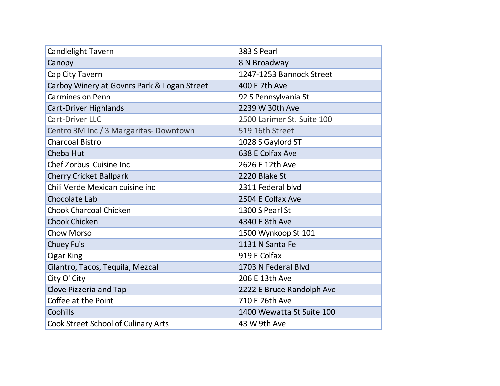| <b>Candlelight Tavern</b>                   | 383 S Pearl                |
|---------------------------------------------|----------------------------|
| Canopy                                      | 8 N Broadway               |
| Cap City Tavern                             | 1247-1253 Bannock Street   |
| Carboy Winery at Govnrs Park & Logan Street | 400 E 7th Ave              |
| <b>Carmines on Penn</b>                     | 92 S Pennsylvania St       |
| Cart-Driver Highlands                       | 2239 W 30th Ave            |
| <b>Cart-Driver LLC</b>                      | 2500 Larimer St. Suite 100 |
| Centro 3M Inc / 3 Margaritas-Downtown       | 519 16th Street            |
| <b>Charcoal Bistro</b>                      | 1028 S Gaylord ST          |
| Cheba Hut                                   | 638 E Colfax Ave           |
| Chef Zorbus Cuisine Inc                     | 2626 E 12th Ave            |
| <b>Cherry Cricket Ballpark</b>              | 2220 Blake St              |
| Chili Verde Mexican cuisine inc             | 2311 Federal blvd          |
| Chocolate Lab                               | 2504 E Colfax Ave          |
| Chook Charcoal Chicken                      | 1300 S Pearl St            |
| <b>Chook Chicken</b>                        | 4340 E 8th Ave             |
| <b>Chow Morso</b>                           | 1500 Wynkoop St 101        |
| Chuey Fu's                                  | 1131 N Santa Fe            |
| Cigar King                                  | 919 E Colfax               |
| Cilantro, Tacos, Tequila, Mezcal            | 1703 N Federal Blvd        |
| City O' City                                | 206 E 13th Ave             |
| Clove Pizzeria and Tap                      | 2222 E Bruce Randolph Ave  |
| Coffee at the Point                         | 710 E 26th Ave             |
| Coohills                                    | 1400 Wewatta St Suite 100  |
| Cook Street School of Culinary Arts         | 43 W 9th Ave               |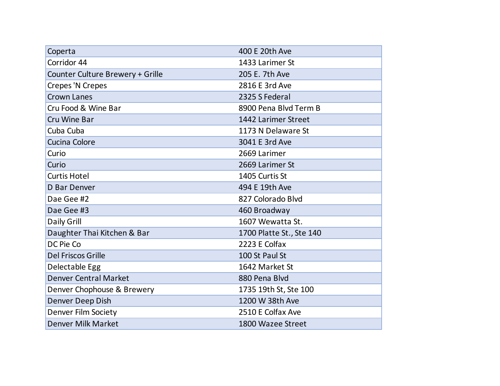| Coperta                          | 400 E 20th Ave           |
|----------------------------------|--------------------------|
| Corridor 44                      | 1433 Larimer St          |
| Counter Culture Brewery + Grille | 205 E. 7th Ave           |
| Crepes 'N Crepes                 | 2816 E 3rd Ave           |
| <b>Crown Lanes</b>               | 2325 S Federal           |
| Cru Food & Wine Bar              | 8900 Pena Blvd Term B    |
| Cru Wine Bar                     | 1442 Larimer Street      |
| Cuba Cuba                        | 1173 N Delaware St       |
| Cucina Colore                    | 3041 E 3rd Ave           |
| Curio                            | 2669 Larimer             |
| Curio                            | 2669 Larimer St          |
| <b>Curtis Hotel</b>              | 1405 Curtis St           |
| <b>D</b> Bar Denver              | 494 E 19th Ave           |
| Dae Gee #2                       | 827 Colorado Blvd        |
| Dae Gee #3                       | 460 Broadway             |
| Daily Grill                      | 1607 Wewatta St.         |
| Daughter Thai Kitchen & Bar      | 1700 Platte St., Ste 140 |
| DC Pie Co                        | 2223 E Colfax            |
| Del Friscos Grille               | 100 St Paul St           |
| Delectable Egg                   | 1642 Market St           |
| <b>Denver Central Market</b>     | 880 Pena Blvd            |
| Denver Chophouse & Brewery       | 1735 19th St, Ste 100    |
| Denver Deep Dish                 | 1200 W 38th Ave          |
| <b>Denver Film Society</b>       | 2510 E Colfax Ave        |
| Denver Milk Market               | 1800 Wazee Street        |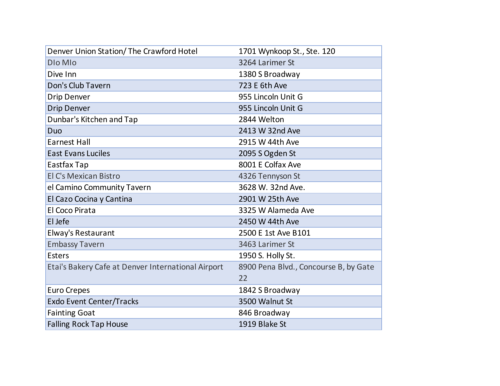| Denver Union Station/ The Crawford Hotel           | 1701 Wynkoop St., Ste. 120            |
|----------------------------------------------------|---------------------------------------|
| DIo MIo                                            | 3264 Larimer St                       |
| Dive Inn                                           | 1380 S Broadway                       |
| Don's Club Tavern                                  | 723 E 6th Ave                         |
| <b>Drip Denver</b>                                 | 955 Lincoln Unit G                    |
| <b>Drip Denver</b>                                 | 955 Lincoln Unit G                    |
| Dunbar's Kitchen and Tap                           | 2844 Welton                           |
| Duo                                                | 2413 W 32nd Ave                       |
| <b>Earnest Hall</b>                                | 2915 W 44th Ave                       |
| <b>East Evans Luciles</b>                          | 2095 S Ogden St                       |
| Eastfax Tap                                        | 8001 E Colfax Ave                     |
| El C's Mexican Bistro                              | 4326 Tennyson St                      |
| el Camino Community Tavern                         | 3628 W. 32nd Ave.                     |
| El Cazo Cocina y Cantina                           | 2901 W 25th Ave                       |
| <b>El Coco Pirata</b>                              | 3325 W Alameda Ave                    |
| El Jefe                                            | 2450 W 44th Ave                       |
| Elway's Restaurant                                 | 2500 E 1st Ave B101                   |
| <b>Embassy Tavern</b>                              | 3463 Larimer St                       |
| <b>Esters</b>                                      | 1950 S. Holly St.                     |
| Etai's Bakery Cafe at Denver International Airport | 8900 Pena Blvd., Concourse B, by Gate |
|                                                    | 22                                    |
| <b>Euro Crepes</b>                                 | 1842 S Broadway                       |
| <b>Exdo Event Center/Tracks</b>                    | 3500 Walnut St                        |
| <b>Fainting Goat</b>                               | 846 Broadway                          |
| <b>Falling Rock Tap House</b>                      | 1919 Blake St                         |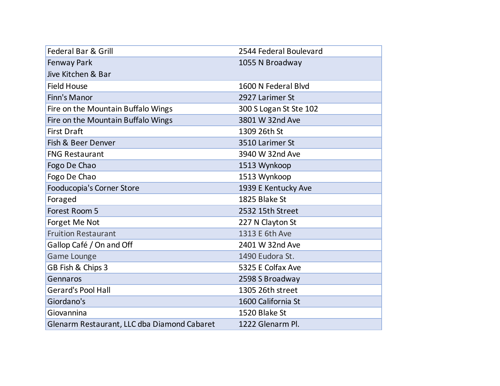| Federal Bar & Grill                         | 2544 Federal Boulevard |
|---------------------------------------------|------------------------|
| Fenway Park                                 | 1055 N Broadway        |
| Jive Kitchen & Bar                          |                        |
| <b>Field House</b>                          | 1600 N Federal Blvd    |
| Finn's Manor                                | 2927 Larimer St        |
| Fire on the Mountain Buffalo Wings          | 300 S Logan St Ste 102 |
| Fire on the Mountain Buffalo Wings          | 3801 W 32nd Ave        |
| <b>First Draft</b>                          | 1309 26th St           |
| Fish & Beer Denver                          | 3510 Larimer St        |
| <b>FNG Restaurant</b>                       | 3940 W 32nd Ave        |
| Fogo De Chao                                | 1513 Wynkoop           |
| Fogo De Chao                                | 1513 Wynkoop           |
| Fooducopia's Corner Store                   | 1939 E Kentucky Ave    |
| Foraged                                     | 1825 Blake St          |
| Forest Room 5                               | 2532 15th Street       |
| Forget Me Not                               | 227 N Clayton St       |
| <b>Fruition Restaurant</b>                  | 1313 E 6th Ave         |
| Gallop Café / On and Off                    | 2401 W 32nd Ave        |
| <b>Game Lounge</b>                          | 1490 Eudora St.        |
| GB Fish & Chips 3                           | 5325 E Colfax Ave      |
| Gennaros                                    | 2598 S Broadway        |
| <b>Gerard's Pool Hall</b>                   | 1305 26th street       |
| Giordano's                                  | 1600 California St     |
| Giovannina                                  | 1520 Blake St          |
| Glenarm Restaurant, LLC dba Diamond Cabaret | 1222 Glenarm Pl.       |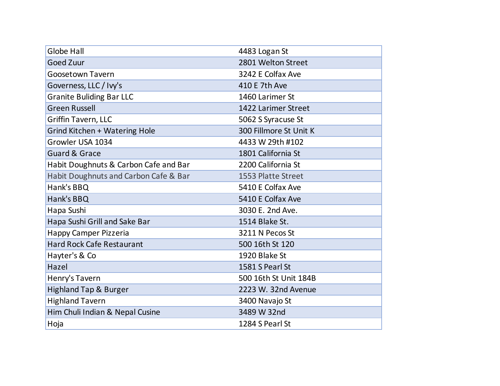| <b>Globe Hall</b>                     | 4483 Logan St          |
|---------------------------------------|------------------------|
| <b>Goed Zuur</b>                      | 2801 Welton Street     |
| <b>Goosetown Tavern</b>               | 3242 E Colfax Ave      |
| Governess, LLC / Ivy's                | 410 E 7th Ave          |
| <b>Granite Buliding Bar LLC</b>       | 1460 Larimer St        |
| <b>Green Russell</b>                  | 1422 Larimer Street    |
| <b>Griffin Tavern, LLC</b>            | 5062 S Syracuse St     |
| Grind Kitchen + Watering Hole         | 300 Fillmore St Unit K |
| Growler USA 1034                      | 4433 W 29th #102       |
| <b>Guard &amp; Grace</b>              | 1801 California St     |
| Habit Doughnuts & Carbon Cafe and Bar | 2200 California St     |
| Habit Doughnuts and Carbon Cafe & Bar | 1553 Platte Street     |
| Hank's BBQ                            | 5410 E Colfax Ave      |
| Hank's BBQ                            | 5410 E Colfax Ave      |
| Hapa Sushi                            | 3030 E. 2nd Ave.       |
| Hapa Sushi Grill and Sake Bar         | 1514 Blake St.         |
| Happy Camper Pizzeria                 | 3211 N Pecos St        |
| <b>Hard Rock Cafe Restaurant</b>      | 500 16th St 120        |
| Hayter's & Co                         | 1920 Blake St          |
| Hazel                                 | 1581 S Pearl St        |
| Henry's Tavern                        | 500 16th St Unit 184B  |
| <b>Highland Tap &amp; Burger</b>      | 2223 W. 32nd Avenue    |
| <b>Highland Tavern</b>                | 3400 Navajo St         |
| Him Chuli Indian & Nepal Cusine       | 3489 W 32nd            |
| Hoja                                  | 1284 S Pearl St        |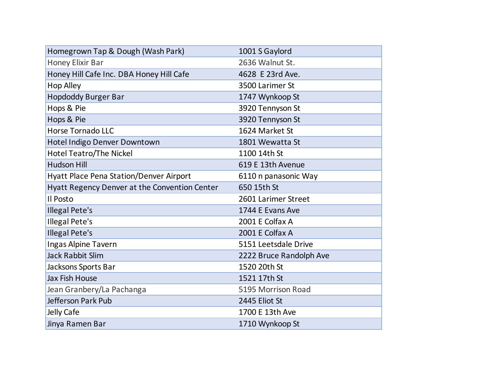| Homegrown Tap & Dough (Wash Park)             | 1001 S Gaylord          |
|-----------------------------------------------|-------------------------|
| Honey Elixir Bar                              | 2636 Walnut St.         |
| Honey Hill Cafe Inc. DBA Honey Hill Cafe      | 4628 E 23rd Ave.        |
| <b>Hop Alley</b>                              | 3500 Larimer St         |
| <b>Hopdoddy Burger Bar</b>                    | 1747 Wynkoop St         |
| Hops & Pie                                    | 3920 Tennyson St        |
| Hops & Pie                                    | 3920 Tennyson St        |
| <b>Horse Tornado LLC</b>                      | 1624 Market St          |
| Hotel Indigo Denver Downtown                  | 1801 Wewatta St         |
| Hotel Teatro/The Nickel                       | 1100 14th St            |
| <b>Hudson Hill</b>                            | 619 E 13th Avenue       |
| Hyatt Place Pena Station/Denver Airport       | 6110 n panasonic Way    |
| Hyatt Regency Denver at the Convention Center | 650 15th St             |
| Il Posto                                      | 2601 Larimer Street     |
| <b>Illegal Pete's</b>                         | 1744 E Evans Ave        |
| <b>Illegal Pete's</b>                         | 2001 E Colfax A         |
| <b>Illegal Pete's</b>                         | 2001 E Colfax A         |
| Ingas Alpine Tavern                           | 5151 Leetsdale Drive    |
| <b>Jack Rabbit Slim</b>                       | 2222 Bruce Randolph Ave |
| Jacksons Sports Bar                           | 1520 20th St            |
| Jax Fish House                                | 1521 17th St            |
| Jean Granbery/La Pachanga                     | 5195 Morrison Road      |
| Jefferson Park Pub                            | 2445 Eliot St           |
| Jelly Cafe                                    | 1700 E 13th Ave         |
| Jinya Ramen Bar                               | 1710 Wynkoop St         |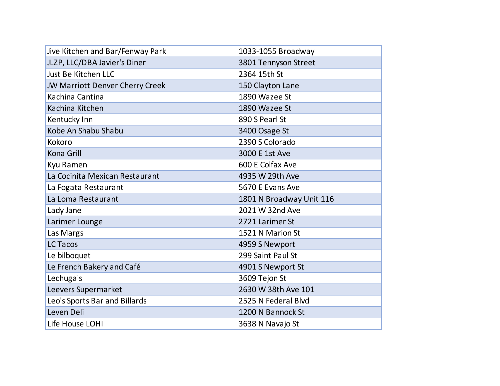| Jive Kitchen and Bar/Fenway Park | 1033-1055 Broadway       |
|----------------------------------|--------------------------|
| JLZP, LLC/DBA Javier's Diner     | 3801 Tennyson Street     |
| Just Be Kitchen LLC              | 2364 15th St             |
| JW Marriott Denver Cherry Creek  | 150 Clayton Lane         |
| Kachina Cantina                  | 1890 Wazee St            |
| Kachina Kitchen                  | 1890 Wazee St            |
| Kentucky Inn                     | 890 S Pearl St           |
| Kobe An Shabu Shabu              | 3400 Osage St            |
| Kokoro                           | 2390 S Colorado          |
| Kona Grill                       | 3000 E 1st Ave           |
| Kyu Ramen                        | 600 E Colfax Ave         |
| La Cocinita Mexican Restaurant   | 4935 W 29th Ave          |
| La Fogata Restaurant             | 5670 E Evans Ave         |
| La Loma Restaurant               | 1801 N Broadway Unit 116 |
| Lady Jane                        | 2021 W 32nd Ave          |
| Larimer Lounge                   | 2721 Larimer St          |
| Las Margs                        | 1521 N Marion St         |
| <b>LC Tacos</b>                  | 4959 S Newport           |
| Le bilboquet                     | 299 Saint Paul St        |
| Le French Bakery and Café        | 4901 S Newport St        |
| Lechuga's                        | 3609 Tejon St            |
| Leevers Supermarket              | 2630 W 38th Ave 101      |
| Leo's Sports Bar and Billards    | 2525 N Federal Blvd      |
| Leven Deli                       | 1200 N Bannock St        |
| Life House LOHI                  | 3638 N Navajo St         |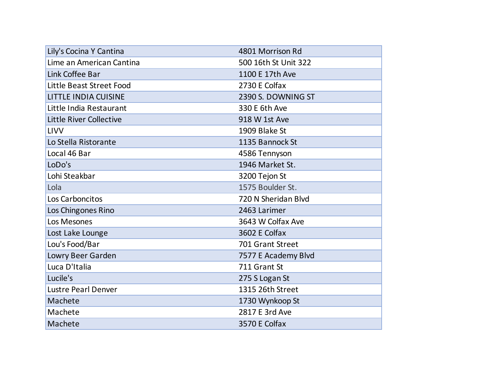| Lily's Cocina Y Cantina     | 4801 Morrison Rd     |
|-----------------------------|----------------------|
| Lime an American Cantina    | 500 16th St Unit 322 |
| Link Coffee Bar             | 1100 E 17th Ave      |
| Little Beast Street Food    | 2730 E Colfax        |
| <b>LITTLE INDIA CUISINE</b> | 2390 S. DOWNING ST   |
| Little India Restaurant     | 330 E 6th Ave        |
| Little River Collective     | 918 W 1st Ave        |
| LIVV                        | 1909 Blake St        |
| Lo Stella Ristorante        | 1135 Bannock St      |
| Local 46 Bar                | 4586 Tennyson        |
| LoDo's                      | 1946 Market St.      |
| Lohi Steakbar               | 3200 Tejon St        |
| Lola                        | 1575 Boulder St.     |
| Los Carboncitos             | 720 N Sheridan Blvd  |
| Los Chingones Rino          | 2463 Larimer         |
| Los Mesones                 | 3643 W Colfax Ave    |
| Lost Lake Lounge            | 3602 E Colfax        |
| Lou's Food/Bar              | 701 Grant Street     |
| Lowry Beer Garden           | 7577 E Academy Blvd  |
| Luca D'Italia               | 711 Grant St         |
| Lucile's                    | 275 S Logan St       |
| <b>Lustre Pearl Denver</b>  | 1315 26th Street     |
| Machete                     | 1730 Wynkoop St      |
| Machete                     | 2817 E 3rd Ave       |
| Machete                     | 3570 E Colfax        |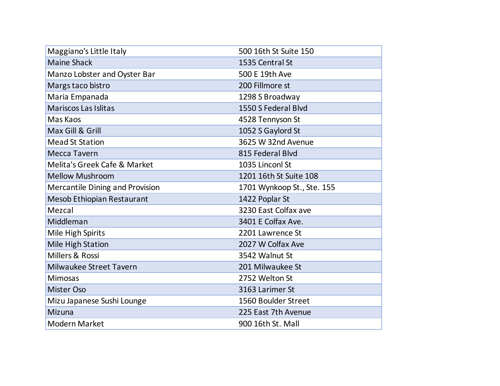| Maggiano's Little Italy         | 500 16th St Suite 150      |
|---------------------------------|----------------------------|
| <b>Maine Shack</b>              | 1535 Central St            |
| Manzo Lobster and Oyster Bar    | 500 E 19th Ave             |
| Margs taco bistro               | 200 Fillmore st            |
| Maria Empanada                  | 1298 S Broadway            |
| <b>Mariscos Las Islitas</b>     | 1550 S Federal Blvd        |
| Mas Kaos                        | 4528 Tennyson St           |
| Max Gill & Grill                | 1052 S Gaylord St          |
| <b>Mead St Station</b>          | 3625 W 32nd Avenue         |
| <b>Mecca Tavern</b>             | 815 Federal Blvd           |
| Melita's Greek Cafe & Market    | 1035 Linconl St            |
| <b>Mellow Mushroom</b>          | 1201 16th St Suite 108     |
| Mercantile Dining and Provision | 1701 Wynkoop St., Ste. 155 |
| Mesob Ethiopian Restaurant      | 1422 Poplar St             |
| Mezcal                          | 3230 East Colfax ave       |
| Middleman                       | 3401 E Colfax Ave.         |
| Mile High Spirits               | 2201 Lawrence St           |
| Mile High Station               | 2027 W Colfax Ave          |
| Millers & Rossi                 | 3542 Walnut St             |
| Milwaukee Street Tavern         | 201 Milwaukee St           |
| <b>Mimosas</b>                  | 2752 Welton St             |
| <b>Mister Oso</b>               | 3163 Larimer St            |
| Mizu Japanese Sushi Lounge      | 1560 Boulder Street        |
| Mizuna                          | 225 East 7th Avenue        |
| <b>Modern Market</b>            | 900 16th St. Mall          |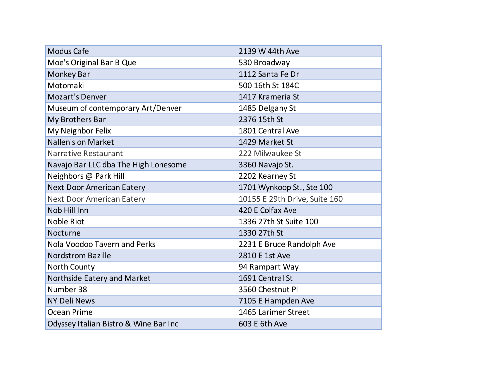| <b>Modus Cafe</b>                     | 2139 W 44th Ave               |
|---------------------------------------|-------------------------------|
| Moe's Original Bar B Que              | 530 Broadway                  |
| <b>Monkey Bar</b>                     | 1112 Santa Fe Dr              |
| Motomaki                              | 500 16th St 184C              |
| <b>Mozart's Denver</b>                | 1417 Krameria St              |
| Museum of contemporary Art/Denver     | 1485 Delgany St               |
| My Brothers Bar                       | 2376 15th St                  |
| My Neighbor Felix                     | 1801 Central Ave              |
| Nallen's on Market                    | 1429 Market St                |
| <b>Narrative Restaurant</b>           | 222 Milwaukee St              |
| Navajo Bar LLC dba The High Lonesome  | 3360 Navajo St.               |
| Neighbors @ Park Hill                 | 2202 Kearney St               |
| <b>Next Door American Eatery</b>      | 1701 Wynkoop St., Ste 100     |
| <b>Next Door American Eatery</b>      | 10155 E 29th Drive, Suite 160 |
| Nob Hill Inn                          | 420 E Colfax Ave              |
| <b>Noble Riot</b>                     | 1336 27th St Suite 100        |
| Nocturne                              | 1330 27th St                  |
| Nola Voodoo Tavern and Perks          | 2231 E Bruce Randolph Ave     |
| <b>Nordstrom Bazille</b>              | 2810 E 1st Ave                |
| North County                          | 94 Rampart Way                |
| Northside Eatery and Market           | 1691 Central St               |
| Number 38                             | 3560 Chestnut Pl              |
| <b>NY Deli News</b>                   | 7105 E Hampden Ave            |
| <b>Ocean Prime</b>                    | 1465 Larimer Street           |
| Odyssey Italian Bistro & Wine Bar Inc | 603 E 6th Ave                 |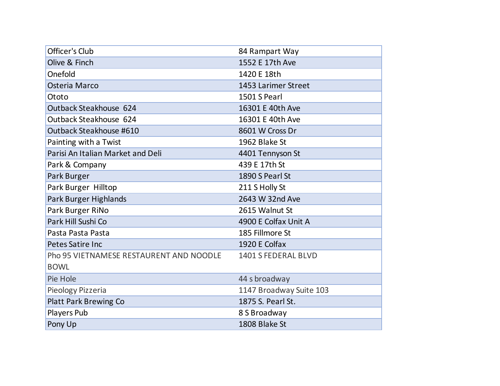| Officer's Club                          | 84 Rampart Way          |
|-----------------------------------------|-------------------------|
| Olive & Finch                           | 1552 E 17th Ave         |
| Onefold                                 | 1420 E 18th             |
| Osteria Marco                           | 1453 Larimer Street     |
| Ototo                                   | 1501 S Pearl            |
| Outback Steakhouse 624                  | 16301 E 40th Ave        |
| Outback Steakhouse 624                  | 16301 E 40th Ave        |
| Outback Steakhouse #610                 | 8601 W Cross Dr         |
| Painting with a Twist                   | 1962 Blake St           |
| Parisi An Italian Market and Deli       | 4401 Tennyson St        |
| Park & Company                          | 439 E 17th St           |
| Park Burger                             | 1890 S Pearl St         |
| Park Burger Hilltop                     | 211 S Holly St          |
| Park Burger Highlands                   | 2643 W 32nd Ave         |
| Park Burger RiNo                        | 2615 Walnut St          |
| Park Hill Sushi Co                      | 4900 E Colfax Unit A    |
| Pasta Pasta Pasta                       | 185 Fillmore St         |
| Petes Satire Inc                        | 1920 E Colfax           |
| Pho 95 VIETNAMESE RESTAURENT AND NOODLE | 1401 S FEDERAL BLVD     |
| <b>BOWL</b>                             |                         |
| Pie Hole                                | 44 s broadway           |
| Pieology Pizzeria                       | 1147 Broadway Suite 103 |
| <b>Platt Park Brewing Co</b>            | 1875 S. Pearl St.       |
| Players Pub                             | 8 S Broadway            |
| Pony Up                                 | 1808 Blake St           |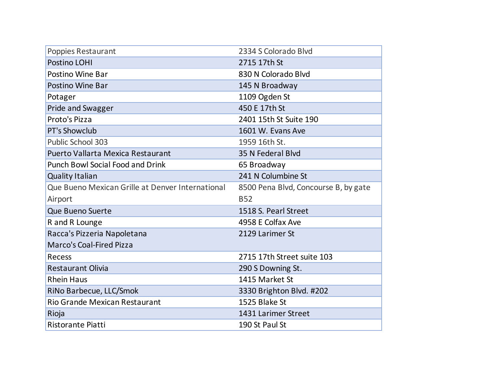| Poppies Restaurant                               | 2334 S Colorado Blvd                 |
|--------------------------------------------------|--------------------------------------|
| Postino LOHI                                     | 2715 17th St                         |
| Postino Wine Bar                                 | 830 N Colorado Blvd                  |
| Postino Wine Bar                                 | 145 N Broadway                       |
| Potager                                          | 1109 Ogden St                        |
| <b>Pride and Swagger</b>                         | 450 E 17th St                        |
| Proto's Pizza                                    | 2401 15th St Suite 190               |
| PT's Showclub                                    | 1601 W. Evans Ave                    |
| <b>Public School 303</b>                         | 1959 16th St.                        |
| Puerto Vallarta Mexica Restaurant                | 35 N Federal Blvd                    |
| <b>Punch Bowl Social Food and Drink</b>          | 65 Broadway                          |
| <b>Quality Italian</b>                           | 241 N Columbine St                   |
| Que Bueno Mexican Grille at Denver International | 8500 Pena Blvd, Concourse B, by gate |
| Airport                                          | <b>B52</b>                           |
| Que Bueno Suerte                                 | 1518 S. Pearl Street                 |
| R and R Lounge                                   | 4958 E Colfax Ave                    |
| Racca's Pizzeria Napoletana                      | 2129 Larimer St                      |
| <b>Marco's Coal-Fired Pizza</b>                  |                                      |
| Recess                                           | 2715 17th Street suite 103           |
| <b>Restaurant Olivia</b>                         | 290 S Downing St.                    |
| <b>Rhein Haus</b>                                | 1415 Market St                       |
| RiNo Barbecue, LLC/Smok                          | 3330 Brighton Blvd. #202             |
| <b>Rio Grande Mexican Restaurant</b>             | 1525 Blake St                        |
| Rioja                                            | 1431 Larimer Street                  |
| <b>Ristorante Piatti</b>                         | 190 St Paul St                       |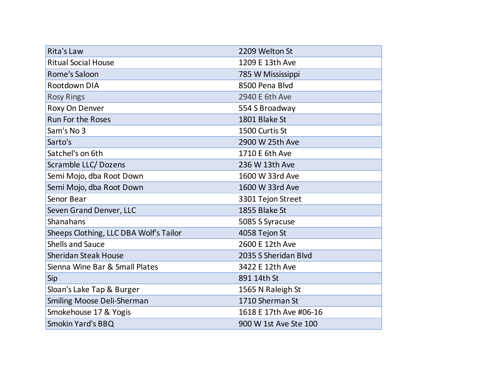| <b>Rita's Law</b>                      | 2209 Welton St         |
|----------------------------------------|------------------------|
| <b>Ritual Social House</b>             | 1209 E 13th Ave        |
| Rome's Saloon                          | 785 W Mississippi      |
| Rootdown DIA                           | 8500 Pena Blvd         |
| <b>Rosy Rings</b>                      | 2940 E 6th Ave         |
| Roxy On Denver                         | 554 S Broadway         |
| <b>Run For the Roses</b>               | 1801 Blake St          |
| Sam's No 3                             | 1500 Curtis St         |
| Sarto's                                | 2900 W 25th Ave        |
| Satchel's on 6th                       | 1710 E 6th Ave         |
| Scramble LLC/Dozens                    | 236 W 13th Ave         |
| Semi Mojo, dba Root Down               | 1600 W 33rd Ave        |
| Semi Mojo, dba Root Down               | 1600 W 33rd Ave        |
| Senor Bear                             | 3301 Tejon Street      |
| Seven Grand Denver, LLC                | 1855 Blake St          |
| Shanahans                              | 5085 S Syracuse        |
| Sheeps Clothing, LLC DBA Wolf's Tailor | 4058 Tejon St          |
| <b>Shells and Sauce</b>                | 2600 E 12th Ave        |
| <b>Sheridan Steak House</b>            | 2035 S Sheridan Blvd   |
| Sienna Wine Bar & Small Plates         | 3422 E 12th Ave        |
| Sip                                    | 891 14th St            |
| Sloan's Lake Tap & Burger              | 1565 N Raleigh St      |
| Smiling Moose Deli-Sherman             | 1710 Sherman St        |
| Smokehouse 17 & Yogis                  | 1618 E 17th Ave #06-16 |
| <b>Smokin Yard's BBQ</b>               | 900 W 1st Ave Ste 100  |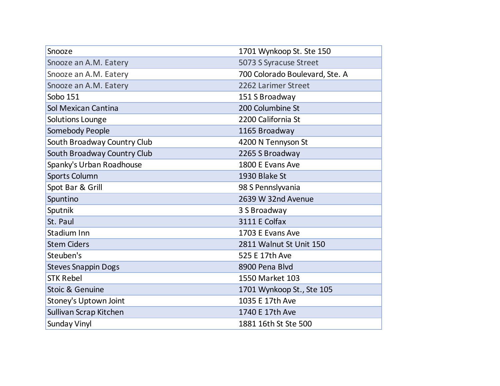| Snooze                      | 1701 Wynkoop St. Ste 150       |
|-----------------------------|--------------------------------|
| Snooze an A.M. Eatery       | 5073 S Syracuse Street         |
| Snooze an A.M. Eatery       | 700 Colorado Boulevard, Ste. A |
| Snooze an A.M. Eatery       | 2262 Larimer Street            |
| Sobo 151                    | 151 S Broadway                 |
| Sol Mexican Cantina         | 200 Columbine St               |
| Solutions Lounge            | 2200 California St             |
| Somebody People             | 1165 Broadway                  |
| South Broadway Country Club | 4200 N Tennyson St             |
| South Broadway Country Club | 2265 S Broadway                |
| Spanky's Urban Roadhouse    | 1800 E Evans Ave               |
| Sports Column               | 1930 Blake St                  |
| Spot Bar & Grill            | 98 S Pennslyvania              |
| Spuntino                    | 2639 W 32nd Avenue             |
| Sputnik                     | 3 S Broadway                   |
| St. Paul                    | 3111 E Colfax                  |
| Stadium Inn                 | 1703 E Evans Ave               |
| <b>Stem Ciders</b>          | 2811 Walnut St Unit 150        |
| Steuben's                   | 525 E 17th Ave                 |
| <b>Steves Snappin Dogs</b>  | 8900 Pena Blvd                 |
| <b>STK Rebel</b>            | 1550 Market 103                |
| Stoic & Genuine             | 1701 Wynkoop St., Ste 105      |
| Stoney's Uptown Joint       | 1035 E 17th Ave                |
| Sullivan Scrap Kitchen      | 1740 E 17th Ave                |
| <b>Sunday Vinyl</b>         | 1881 16th St Ste 500           |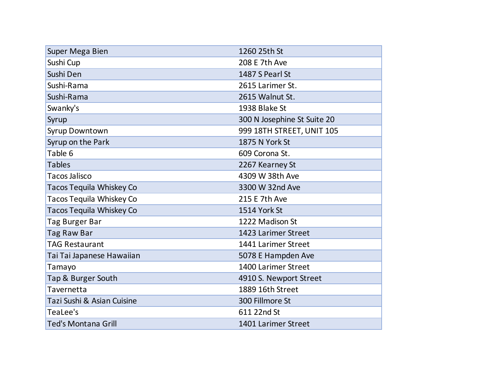| Super Mega Bien                 | 1260 25th St                |
|---------------------------------|-----------------------------|
| Sushi Cup                       | 208 E 7th Ave               |
| Sushi Den                       | 1487 S Pearl St             |
| Sushi-Rama                      | 2615 Larimer St.            |
| Sushi-Rama                      | 2615 Walnut St.             |
| Swanky's                        | 1938 Blake St               |
| Syrup                           | 300 N Josephine St Suite 20 |
| Syrup Downtown                  | 999 18TH STREET, UNIT 105   |
| Syrup on the Park               | 1875 N York St              |
| Table 6                         | 609 Corona St.              |
| <b>Tables</b>                   | 2267 Kearney St             |
| <b>Tacos Jalisco</b>            | 4309 W 38th Ave             |
| Tacos Tequila Whiskey Co        | 3300 W 32nd Ave             |
| Tacos Tequila Whiskey Co        | 215 E 7th Ave               |
| <b>Tacos Tequila Whiskey Co</b> | 1514 York St                |
| Tag Burger Bar                  | 1222 Madison St             |
| Tag Raw Bar                     | 1423 Larimer Street         |
| <b>TAG Restaurant</b>           | 1441 Larimer Street         |
| Tai Tai Japanese Hawaiian       | 5078 E Hampden Ave          |
| Tamayo                          | 1400 Larimer Street         |
| Tap & Burger South              | 4910 S. Newport Street      |
| Tavernetta                      | 1889 16th Street            |
| Tazi Sushi & Asian Cuisine      | 300 Fillmore St             |
| TeaLee's                        | 611 22nd St                 |
| <b>Ted's Montana Grill</b>      | 1401 Larimer Street         |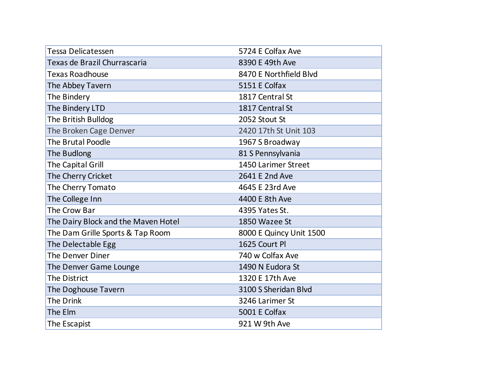| <b>Tessa Delicatessen</b>           | 5724 E Colfax Ave       |
|-------------------------------------|-------------------------|
| Texas de Brazil Churrascaria        | 8390 E 49th Ave         |
| <b>Texas Roadhouse</b>              | 8470 E Northfield Blvd  |
| The Abbey Tavern                    | 5151 E Colfax           |
| The Bindery                         | 1817 Central St         |
| The Bindery LTD                     | 1817 Central St         |
| The British Bulldog                 | 2052 Stout St           |
| The Broken Cage Denver              | 2420 17th St Unit 103   |
| <b>The Brutal Poodle</b>            | 1967 S Broadway         |
| The Budlong                         | 81 S Pennsylvania       |
| The Capital Grill                   | 1450 Larimer Street     |
| The Cherry Cricket                  | 2641 E 2nd Ave          |
| The Cherry Tomato                   | 4645 E 23rd Ave         |
| The College Inn                     | 4400 E 8th Ave          |
| The Crow Bar                        | 4395 Yates St.          |
| The Dairy Block and the Maven Hotel | 1850 Wazee St           |
| The Dam Grille Sports & Tap Room    | 8000 E Quincy Unit 1500 |
| The Delectable Egg                  | 1625 Court Pl           |
| The Denver Diner                    | 740 w Colfax Ave        |
| The Denver Game Lounge              | 1490 N Eudora St        |
| <b>The District</b>                 | 1320 E 17th Ave         |
| The Doghouse Tavern                 | 3100 S Sheridan Blvd    |
| The Drink                           | 3246 Larimer St         |
| The Elm                             | 5001 E Colfax           |
| The Escapist                        | 921 W 9th Ave           |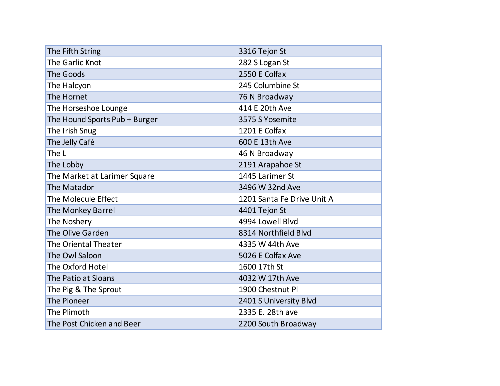| The Fifth String              | 3316 Tejon St              |
|-------------------------------|----------------------------|
| The Garlic Knot               | 282 S Logan St             |
| <b>The Goods</b>              | 2550 E Colfax              |
| The Halcyon                   | 245 Columbine St           |
| The Hornet                    | 76 N Broadway              |
| The Horseshoe Lounge          | 414 E 20th Ave             |
| The Hound Sports Pub + Burger | 3575 S Yosemite            |
| The Irish Snug                | 1201 E Colfax              |
| The Jelly Café                | 600 E 13th Ave             |
| The L                         | 46 N Broadway              |
| The Lobby                     | 2191 Arapahoe St           |
| The Market at Larimer Square  | 1445 Larimer St            |
| The Matador                   | 3496 W 32nd Ave            |
| The Molecule Effect           | 1201 Santa Fe Drive Unit A |
| The Monkey Barrel             | 4401 Tejon St              |
| The Noshery                   | 4994 Lowell Blvd           |
| The Olive Garden              | 8314 Northfield Blvd       |
| <b>The Oriental Theater</b>   | 4335 W 44th Ave            |
| The Owl Saloon                | 5026 E Colfax Ave          |
| The Oxford Hotel              | 1600 17th St               |
| The Patio at Sloans           | 4032 W 17th Ave            |
| The Pig & The Sprout          | 1900 Chestnut Pl           |
| The Pioneer                   | 2401 S University Blvd     |
| The Plimoth                   | 2335 E. 28th ave           |
| The Post Chicken and Beer     | 2200 South Broadway        |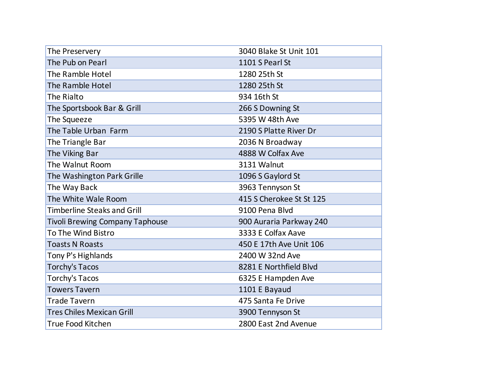| The Preservery                         | 3040 Blake St Unit 101   |
|----------------------------------------|--------------------------|
| The Pub on Pearl                       | 1101 S Pearl St          |
| The Ramble Hotel                       | 1280 25th St             |
| The Ramble Hotel                       | 1280 25th St             |
| The Rialto                             | 934 16th St              |
| The Sportsbook Bar & Grill             | 266 S Downing St         |
| The Squeeze                            | 5395 W 48th Ave          |
| The Table Urban Farm                   | 2190 S Platte River Dr   |
| The Triangle Bar                       | 2036 N Broadway          |
| The Viking Bar                         | 4888 W Colfax Ave        |
| The Walnut Room                        | 3131 Walnut              |
| The Washington Park Grille             | 1096 S Gaylord St        |
| The Way Back                           | 3963 Tennyson St         |
| The White Wale Room                    | 415 S Cherokee St St 125 |
| <b>Timberline Steaks and Grill</b>     | 9100 Pena Blvd           |
| <b>Tivoli Brewing Company Taphouse</b> | 900 Auraria Parkway 240  |
| To The Wind Bistro                     | 3333 E Colfax Aave       |
| <b>Toasts N Roasts</b>                 | 450 E 17th Ave Unit 106  |
| Tony P's Highlands                     | 2400 W 32nd Ave          |
| <b>Torchy's Tacos</b>                  | 8281 E Northfield Blvd   |
| <b>Torchy's Tacos</b>                  | 6325 E Hampden Ave       |
| <b>Towers Tavern</b>                   | 1101 E Bayaud            |
| <b>Trade Tavern</b>                    | 475 Santa Fe Drive       |
| <b>Tres Chiles Mexican Grill</b>       | 3900 Tennyson St         |
| <b>True Food Kitchen</b>               | 2800 East 2nd Avenue     |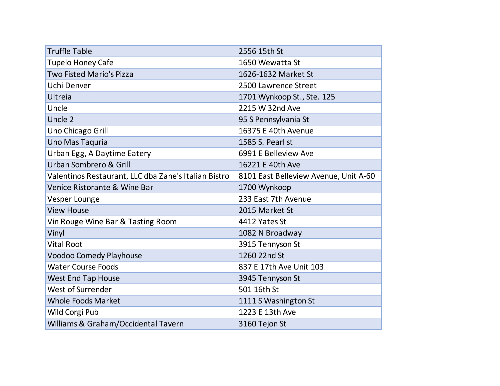| <b>Truffle Table</b>                                 | 2556 15th St                          |
|------------------------------------------------------|---------------------------------------|
| <b>Tupelo Honey Cafe</b>                             | 1650 Wewatta St                       |
| <b>Two Fisted Mario's Pizza</b>                      | 1626-1632 Market St                   |
| Uchi Denver                                          | 2500 Lawrence Street                  |
| Ultreia                                              | 1701 Wynkoop St., Ste. 125            |
| Uncle                                                | 2215 W 32nd Ave                       |
| Uncle 2                                              | 95 S Pennsylvania St                  |
| Uno Chicago Grill                                    | 16375 E 40th Avenue                   |
| Uno Mas Taquria                                      | 1585 S. Pearl st                      |
| Urban Egg, A Daytime Eatery                          | 6991 E Belleview Ave                  |
| Urban Sombrero & Grill                               | 16221 E 40th Ave                      |
| Valentinos Restaurant, LLC dba Zane's Italian Bistro | 8101 East Belleview Avenue, Unit A-60 |
| Venice Ristorante & Wine Bar                         | 1700 Wynkoop                          |
| Vesper Lounge                                        | 233 East 7th Avenue                   |
| <b>View House</b>                                    | 2015 Market St                        |
| Vin Rouge Wine Bar & Tasting Room                    | 4412 Yates St                         |
| Vinyl                                                | 1082 N Broadway                       |
| <b>Vital Root</b>                                    | 3915 Tennyson St                      |
| <b>Voodoo Comedy Playhouse</b>                       | 1260 22nd St                          |
| <b>Water Course Foods</b>                            | 837 E 17th Ave Unit 103               |
| <b>West End Tap House</b>                            | 3945 Tennyson St                      |
| West of Surrender                                    | 501 16th St                           |
| <b>Whole Foods Market</b>                            | 1111 S Washington St                  |
| Wild Corgi Pub                                       | 1223 E 13th Ave                       |
| Williams & Graham/Occidental Tavern                  | 3160 Tejon St                         |